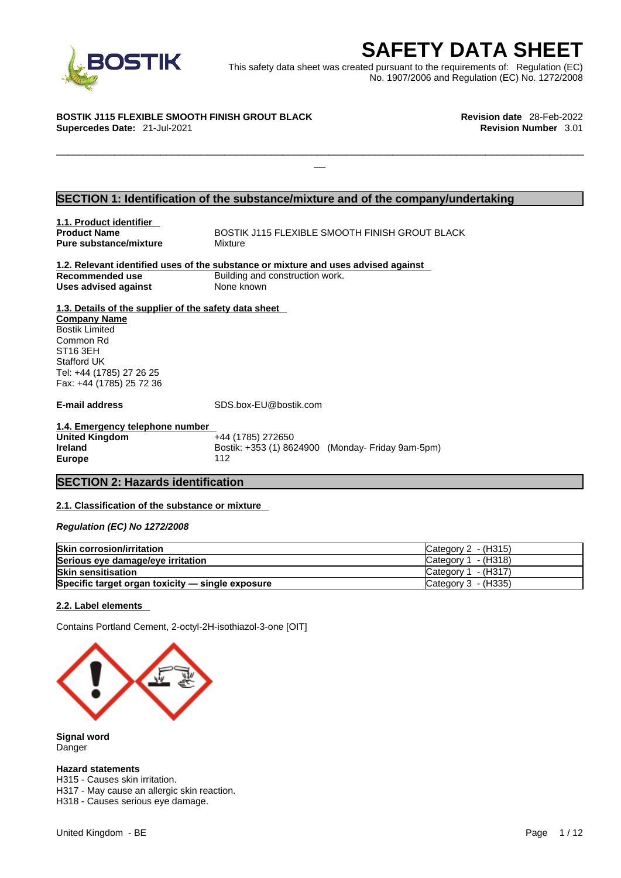

EXECRETY DATA SHEET<br>
Et was created pursuant to the requirements of: Regulation (EC)<br>
No. 1907/2006 and Regulation (EC) No. 1272/2008<br>
Revision date 28-Feb-2022<br>
Revision Number 3.01 This safety data sheet was created pursuant to the requirements of: Regulation (EC) No. 1907/2006 and Regulation (EC) No. 1272/2008

 $\Box$ 

#### **BOSTIK J115 FLEXIBLE SMOOTH FINISH GROUT BLACK Revision date** 28-Feb-2022

**Supercedes Date:** 21-Jul-2021 **Revision Number** 3.01

### **SECTION 1: Identification of the substance/mixture and of the company/undertaking**

**1.1. Product identifier Pure substance/mixture Mixture** 

**BOSTIK J115 FLEXIBLE SMOOTH FINISH GROUT BLACK** 

#### **1.2. Relevant identified uses of the substance or mixture and uses advised against Recommended use Building and construction work. Uses advised against** None known

**1.3. Details of the supplier of the safety data sheet Company Name** Bostik Limited Common Rd ST16 3EH Stafford UK Tel: +44 (1785) 27 26 25 Fax: +44 (1785) 25 72 36

**E-mail address** SDS.box-EU@bostik.com

**1.4. Emergency telephone number United Kingdom Ireland Bostik: +353 (1) 8624900 (Monday- Friday 9am-5pm) Europe** 112

#### **SECTION 2: Hazards identification**

#### **2.1. Classification of the substance or mixture**

*Regulation (EC) No 1272/2008* 

| <b>Skin corrosion/irritation</b>                 | ICategory 2 - (H315)  |
|--------------------------------------------------|-----------------------|
| Serious eye damage/eye irritation                | ICategory 1 - (H318)  |
| <b>Skin sensitisation</b>                        | $Cateqorv 1 - (H317)$ |
| Specific target organ toxicity - single exposure | Category 3 - (H335)   |

#### **2.2. Label elements**

Contains Portland Cement, 2-octyl-2H-isothiazol-3-one [OIT]



**Signal word** Danger

#### **Hazard statements**

H315 - Causes skin irritation. H317 - May cause an allergic skin reaction. H318 - Causes serious eye damage.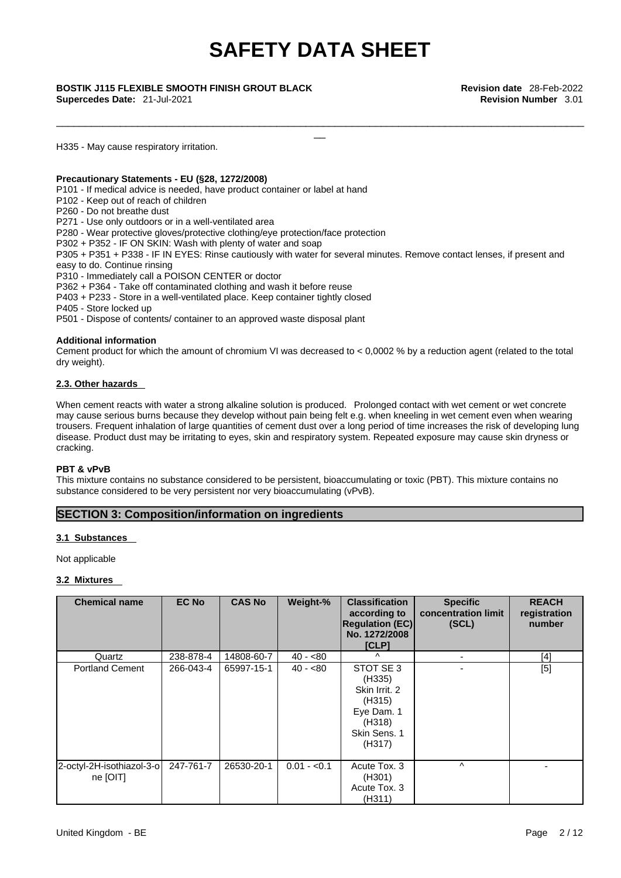\_\_\_\_\_\_\_\_\_\_\_\_\_\_\_\_\_\_\_\_\_\_\_\_\_\_\_\_\_\_\_\_\_\_\_\_\_\_\_\_\_\_\_\_\_\_\_\_\_\_\_\_\_\_\_\_\_\_\_\_\_\_\_\_\_\_\_\_\_\_\_\_\_\_\_\_\_\_\_\_\_\_\_\_\_\_\_\_\_\_\_

**Supercedes Date:** 21-Jul-2021 **Revision Number** 3.01

\_\_ **BOSTIK J115 FLEXIBLE SMOOTH FINISH GROUT BLACK Revision date** 28-Feb-2022

H335 - May cause respiratory irritation.

#### **Precautionary Statements - EU (§28, 1272/2008)**

P101 - If medical advice is needed, have product container or label at hand

P102 - Keep out of reach of children

P260 - Do not breathe dust

P271 - Use only outdoors or in a well-ventilated area

P280 - Wear protective gloves/protective clothing/eye protection/face protection

P302 + P352 - IF ON SKIN: Wash with plenty of water and soap

P305 + P351 + P338 - IF IN EYES: Rinse cautiously with water for several minutes. Remove contact lenses, if present and easy to do. Continue rinsing

P310 - Immediately call a POISON CENTER or doctor

P362 + P364 - Take off contaminated clothing and wash it before reuse

P403 + P233 - Store in a well-ventilated place. Keep container tightly closed

P405 - Store locked up

P501 - Dispose of contents/ container to an approved waste disposal plant

#### **Additional information**

Cement product for which the amount of chromium VI was decreased to  $< 0.0002$  % by a reduction agent (related to the total dry weight).

#### **2.3. Other hazards**

When cement reacts with water a strong alkaline solution is produced. Prolonged contact with wet cement or wet concrete may cause serious burns because they develop without pain being felt e.g. when kneeling in wet cement even when wearing trousers. Frequent inhalation of large quantities of cement dust over a long period of time increases the risk of developing lung disease. Product dust may be irritating to eyes, skin and respiratory system. Repeated exposure may cause skin dryness or cracking.

#### **PBT & vPvB**

This mixture contains no substance considered to be persistent, bioaccumulating or toxic (PBT). This mixture contains no substance considered to be very persistent nor very bioaccumulating (vPvB).

#### **SECTION 3: Composition/information on ingredients**

#### **3.1 Substances**

Not applicable

#### **3.2 Mixtures**

| <b>Chemical name</b>                  | <b>EC No</b> | <b>CAS No</b> | Weight-%     | <b>Classification</b><br>according to<br><b>Regulation (EC)</b><br>No. 1272/2008<br>[CLP]        | <b>Specific</b><br>concentration limit<br>(SCL) | <b>REACH</b><br>registration<br>number |
|---------------------------------------|--------------|---------------|--------------|--------------------------------------------------------------------------------------------------|-------------------------------------------------|----------------------------------------|
| Quartz                                | 238-878-4    | 14808-60-7    | $40 - 80$    | $\lambda$                                                                                        |                                                 | $[4]$                                  |
| <b>Portland Cement</b>                | 266-043-4    | 65997-15-1    | $40 - 80$    | STOT SE 3<br>(H335)<br>Skin Irrit. 2<br>(H315)<br>Eye Dam. 1<br>(H318)<br>Skin Sens. 1<br>(H317) |                                                 | [5]                                    |
| 2-octyl-2H-isothiazol-3-o<br>ne [OIT] | 247-761-7    | 26530-20-1    | $0.01 - 0.1$ | Acute Tox. 3<br>(H301)<br>Acute Tox. 3<br>(H311)                                                 | ٨                                               |                                        |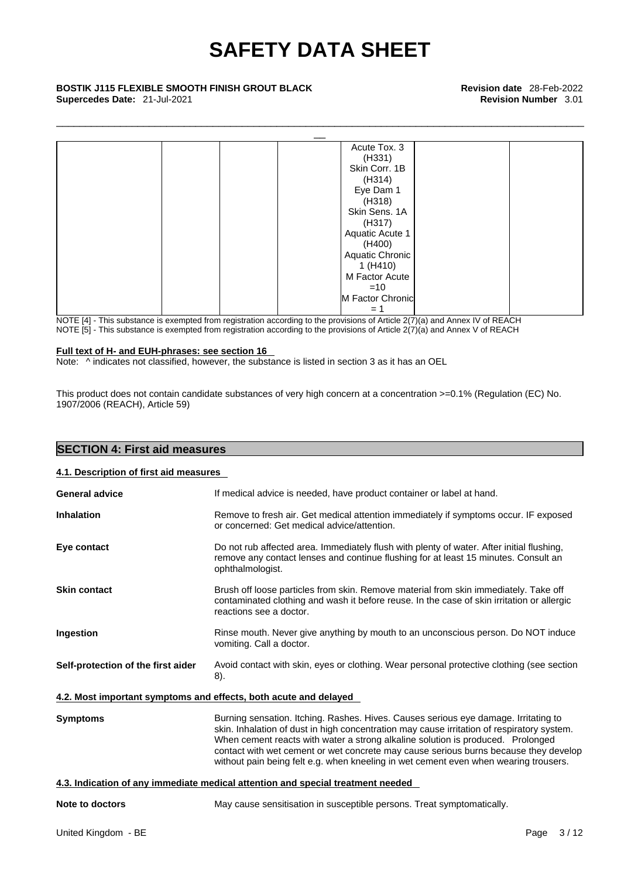\_\_\_\_\_\_\_\_\_\_\_\_\_\_\_\_\_\_\_\_\_\_\_\_\_\_\_\_\_\_\_\_\_\_\_\_\_\_\_\_\_\_\_\_\_\_\_\_\_\_\_\_\_\_\_\_\_\_\_\_\_\_\_\_\_\_\_\_\_\_\_\_\_\_\_\_\_\_\_\_\_\_\_\_\_\_\_\_\_\_\_

# \_\_ **BOSTIK J115 FLEXIBLE SMOOTH FINISH GROUT BLACK Revision date** 28-Feb-2022 **Supercedes Date:** 21-Jul-2021 **Revision Number** 3.01



NOTE [4] - This substance is exempted from registration according to the provisions of Article 2(7)(a) and Annex IV of REACH NOTE [5] - This substance is exempted from registration according to the provisions of Article 2(7)(a) and Annex V of REACH

#### **Full text of H- and EUH-phrases: see section 16**

Note: ^ indicates not classified, however, the substance is listed in section 3 as it has an OEL

This product does not contain candidate substances of very high concern at a concentration >=0.1% (Regulation (EC) No. 1907/2006 (REACH), Article 59)

| <b>SECTION 4: First aid measures</b>   |                                                                                                                                                                                                                                                                                                                                                                                                                                                      |
|----------------------------------------|------------------------------------------------------------------------------------------------------------------------------------------------------------------------------------------------------------------------------------------------------------------------------------------------------------------------------------------------------------------------------------------------------------------------------------------------------|
| 4.1. Description of first aid measures |                                                                                                                                                                                                                                                                                                                                                                                                                                                      |
| <b>General advice</b>                  | If medical advice is needed, have product container or label at hand.                                                                                                                                                                                                                                                                                                                                                                                |
| <b>Inhalation</b>                      | Remove to fresh air. Get medical attention immediately if symptoms occur. IF exposed<br>or concerned: Get medical advice/attention.                                                                                                                                                                                                                                                                                                                  |
| Eye contact                            | Do not rub affected area. Immediately flush with plenty of water. After initial flushing,<br>remove any contact lenses and continue flushing for at least 15 minutes. Consult an<br>ophthalmologist.                                                                                                                                                                                                                                                 |
| <b>Skin contact</b>                    | Brush off loose particles from skin. Remove material from skin immediately. Take off<br>contaminated clothing and wash it before reuse. In the case of skin irritation or allergic<br>reactions see a doctor.                                                                                                                                                                                                                                        |
| Ingestion                              | Rinse mouth. Never give anything by mouth to an unconscious person. Do NOT induce<br>vomiting. Call a doctor.                                                                                                                                                                                                                                                                                                                                        |
| Self-protection of the first aider     | Avoid contact with skin, eyes or clothing. Wear personal protective clothing (see section<br>8).                                                                                                                                                                                                                                                                                                                                                     |
|                                        | 4.2. Most important symptoms and effects, both acute and delayed                                                                                                                                                                                                                                                                                                                                                                                     |
| <b>Symptoms</b>                        | Burning sensation. Itching. Rashes. Hives. Causes serious eye damage. Irritating to<br>skin. Inhalation of dust in high concentration may cause irritation of respiratory system.<br>When cement reacts with water a strong alkaline solution is produced. Prolonged<br>contact with wet cement or wet concrete may cause serious burns because they develop<br>without pain being felt e.g. when kneeling in wet cement even when wearing trousers. |
|                                        | 4.3. Indication of any immediate medical attention and special treatment needed                                                                                                                                                                                                                                                                                                                                                                      |
| Note to doctors                        | May cause sensitisation in susceptible persons. Treat symptomatically.                                                                                                                                                                                                                                                                                                                                                                               |
| United Kingdom - BE                    | Page 3/12                                                                                                                                                                                                                                                                                                                                                                                                                                            |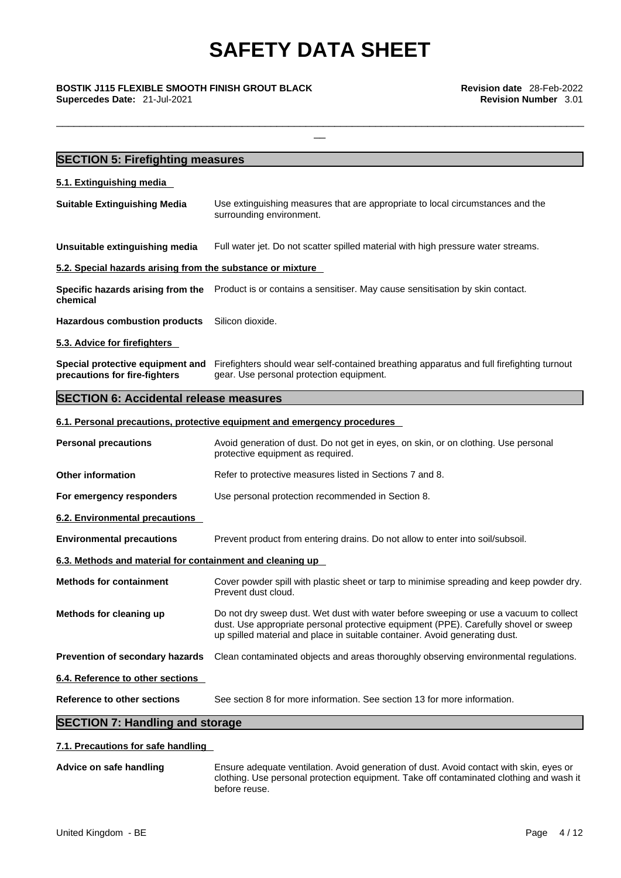\_\_\_\_\_\_\_\_\_\_\_\_\_\_\_\_\_\_\_\_\_\_\_\_\_\_\_\_\_\_\_\_\_\_\_\_\_\_\_\_\_\_\_\_\_\_\_\_\_\_\_\_\_\_\_\_\_\_\_\_\_\_\_\_\_\_\_\_\_\_\_\_\_\_\_\_\_\_\_\_\_\_\_\_\_\_\_\_\_\_\_

\_\_ **BOSTIK J115 FLEXIBLE SMOOTH FINISH GROUT BLACK Revision date** 28-Feb-2022 **Supercedes Date:** 21-Jul-2021 **Revision Number** 3.01

| Use extinguishing measures that are appropriate to local circumstances and the<br>surrounding environment.<br>Full water jet. Do not scatter spilled material with high pressure water streams.<br>5.2. Special hazards arising from the substance or mixture<br>Specific hazards arising from the Product is or contains a sensitiser. May cause sensitisation by skin contact.<br>Silicon dioxide.<br>Firefighters should wear self-contained breathing apparatus and full firefighting turnout<br>gear. Use personal protection equipment.<br><b>SECTION 6: Accidental release measures</b><br>6.1. Personal precautions, protective equipment and emergency procedures<br>Avoid generation of dust. Do not get in eyes, on skin, or on clothing. Use personal<br>protective equipment as required.<br>Refer to protective measures listed in Sections 7 and 8.<br>Use personal protection recommended in Section 8.<br>Prevent product from entering drains. Do not allow to enter into soil/subsoil.<br>6.3. Methods and material for containment and cleaning up<br>Prevent dust cloud.<br>dust. Use appropriate personal protective equipment (PPE). Carefully shovel or sweep<br>up spilled material and place in suitable container. Avoid generating dust.<br>Clean contaminated objects and areas thoroughly observing environmental regulations. | <b>SECTION 5: Firefighting measures</b>                           |                                                                                          |
|--------------------------------------------------------------------------------------------------------------------------------------------------------------------------------------------------------------------------------------------------------------------------------------------------------------------------------------------------------------------------------------------------------------------------------------------------------------------------------------------------------------------------------------------------------------------------------------------------------------------------------------------------------------------------------------------------------------------------------------------------------------------------------------------------------------------------------------------------------------------------------------------------------------------------------------------------------------------------------------------------------------------------------------------------------------------------------------------------------------------------------------------------------------------------------------------------------------------------------------------------------------------------------------------------------------------------------------------------------------|-------------------------------------------------------------------|------------------------------------------------------------------------------------------|
|                                                                                                                                                                                                                                                                                                                                                                                                                                                                                                                                                                                                                                                                                                                                                                                                                                                                                                                                                                                                                                                                                                                                                                                                                                                                                                                                                              | 5.1. Extinguishing media                                          |                                                                                          |
|                                                                                                                                                                                                                                                                                                                                                                                                                                                                                                                                                                                                                                                                                                                                                                                                                                                                                                                                                                                                                                                                                                                                                                                                                                                                                                                                                              | <b>Suitable Extinguishing Media</b>                               |                                                                                          |
|                                                                                                                                                                                                                                                                                                                                                                                                                                                                                                                                                                                                                                                                                                                                                                                                                                                                                                                                                                                                                                                                                                                                                                                                                                                                                                                                                              | Unsuitable extinguishing media                                    |                                                                                          |
|                                                                                                                                                                                                                                                                                                                                                                                                                                                                                                                                                                                                                                                                                                                                                                                                                                                                                                                                                                                                                                                                                                                                                                                                                                                                                                                                                              |                                                                   |                                                                                          |
|                                                                                                                                                                                                                                                                                                                                                                                                                                                                                                                                                                                                                                                                                                                                                                                                                                                                                                                                                                                                                                                                                                                                                                                                                                                                                                                                                              | chemical                                                          |                                                                                          |
|                                                                                                                                                                                                                                                                                                                                                                                                                                                                                                                                                                                                                                                                                                                                                                                                                                                                                                                                                                                                                                                                                                                                                                                                                                                                                                                                                              | <b>Hazardous combustion products</b>                              |                                                                                          |
|                                                                                                                                                                                                                                                                                                                                                                                                                                                                                                                                                                                                                                                                                                                                                                                                                                                                                                                                                                                                                                                                                                                                                                                                                                                                                                                                                              | 5.3. Advice for firefighters                                      |                                                                                          |
|                                                                                                                                                                                                                                                                                                                                                                                                                                                                                                                                                                                                                                                                                                                                                                                                                                                                                                                                                                                                                                                                                                                                                                                                                                                                                                                                                              | Special protective equipment and<br>precautions for fire-fighters |                                                                                          |
|                                                                                                                                                                                                                                                                                                                                                                                                                                                                                                                                                                                                                                                                                                                                                                                                                                                                                                                                                                                                                                                                                                                                                                                                                                                                                                                                                              |                                                                   |                                                                                          |
|                                                                                                                                                                                                                                                                                                                                                                                                                                                                                                                                                                                                                                                                                                                                                                                                                                                                                                                                                                                                                                                                                                                                                                                                                                                                                                                                                              |                                                                   |                                                                                          |
|                                                                                                                                                                                                                                                                                                                                                                                                                                                                                                                                                                                                                                                                                                                                                                                                                                                                                                                                                                                                                                                                                                                                                                                                                                                                                                                                                              | <b>Personal precautions</b>                                       |                                                                                          |
|                                                                                                                                                                                                                                                                                                                                                                                                                                                                                                                                                                                                                                                                                                                                                                                                                                                                                                                                                                                                                                                                                                                                                                                                                                                                                                                                                              | <b>Other information</b>                                          |                                                                                          |
|                                                                                                                                                                                                                                                                                                                                                                                                                                                                                                                                                                                                                                                                                                                                                                                                                                                                                                                                                                                                                                                                                                                                                                                                                                                                                                                                                              | For emergency responders                                          |                                                                                          |
|                                                                                                                                                                                                                                                                                                                                                                                                                                                                                                                                                                                                                                                                                                                                                                                                                                                                                                                                                                                                                                                                                                                                                                                                                                                                                                                                                              | 6.2. Environmental precautions                                    |                                                                                          |
|                                                                                                                                                                                                                                                                                                                                                                                                                                                                                                                                                                                                                                                                                                                                                                                                                                                                                                                                                                                                                                                                                                                                                                                                                                                                                                                                                              | <b>Environmental precautions</b>                                  |                                                                                          |
|                                                                                                                                                                                                                                                                                                                                                                                                                                                                                                                                                                                                                                                                                                                                                                                                                                                                                                                                                                                                                                                                                                                                                                                                                                                                                                                                                              |                                                                   |                                                                                          |
|                                                                                                                                                                                                                                                                                                                                                                                                                                                                                                                                                                                                                                                                                                                                                                                                                                                                                                                                                                                                                                                                                                                                                                                                                                                                                                                                                              | <b>Methods for containment</b>                                    | Cover powder spill with plastic sheet or tarp to minimise spreading and keep powder dry. |
|                                                                                                                                                                                                                                                                                                                                                                                                                                                                                                                                                                                                                                                                                                                                                                                                                                                                                                                                                                                                                                                                                                                                                                                                                                                                                                                                                              | Methods for cleaning up                                           | Do not dry sweep dust. Wet dust with water before sweeping or use a vacuum to collect    |
|                                                                                                                                                                                                                                                                                                                                                                                                                                                                                                                                                                                                                                                                                                                                                                                                                                                                                                                                                                                                                                                                                                                                                                                                                                                                                                                                                              | Prevention of secondary hazards                                   |                                                                                          |
|                                                                                                                                                                                                                                                                                                                                                                                                                                                                                                                                                                                                                                                                                                                                                                                                                                                                                                                                                                                                                                                                                                                                                                                                                                                                                                                                                              | 6.4. Reference to other sections                                  |                                                                                          |
|                                                                                                                                                                                                                                                                                                                                                                                                                                                                                                                                                                                                                                                                                                                                                                                                                                                                                                                                                                                                                                                                                                                                                                                                                                                                                                                                                              | <b>Reference to other sections</b>                                | See section 8 for more information. See section 13 for more information.                 |

### **7.1. Precautions for safe handling**

**Advice on safe handling** Ensure adequate ventilation. Avoid generation of dust. Avoid contact with skin, eyes or clothing. Use personal protection equipment. Take off contaminated clothing and wash it before reuse.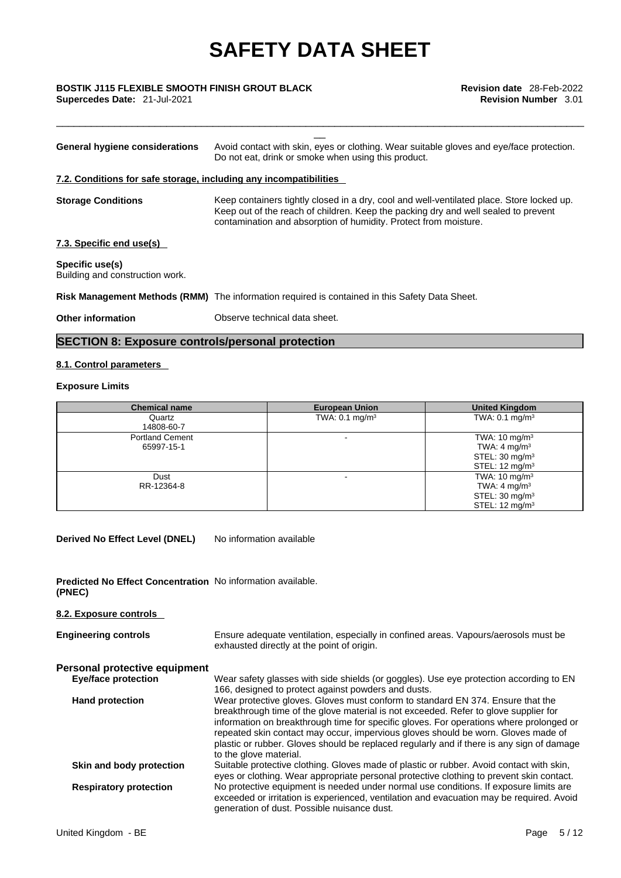\_\_\_\_\_\_\_\_\_\_\_\_\_\_\_\_\_\_\_\_\_\_\_\_\_\_\_\_\_\_\_\_\_\_\_\_\_\_\_\_\_\_\_\_\_\_\_\_\_\_\_\_\_\_\_\_\_\_\_\_\_\_\_\_\_\_\_\_\_\_\_\_\_\_\_\_\_\_\_\_\_\_\_\_\_\_\_\_\_\_\_

# \_\_ **BOSTIK J115 FLEXIBLE SMOOTH FINISH GROUT BLACK Revision date** 28-Feb-2022

| Avoid contact with skin, eyes or clothing. Wear suitable gloves and eye/face protection.<br>Do not eat, drink or smoke when using this product.<br>7.2. Conditions for safe storage, including any incompatibilities<br>Keep containers tightly closed in a dry, cool and well-ventilated place. Store locked up.<br>Keep out of the reach of children. Keep the packing dry and well sealed to prevent<br>contamination and absorption of humidity. Protect from moisture.<br>Risk Management Methods (RMM) The information required is contained in this Safety Data Sheet. | <b>Other information</b>                           | Observe technical data sheet. |
|-------------------------------------------------------------------------------------------------------------------------------------------------------------------------------------------------------------------------------------------------------------------------------------------------------------------------------------------------------------------------------------------------------------------------------------------------------------------------------------------------------------------------------------------------------------------------------|----------------------------------------------------|-------------------------------|
|                                                                                                                                                                                                                                                                                                                                                                                                                                                                                                                                                                               |                                                    |                               |
|                                                                                                                                                                                                                                                                                                                                                                                                                                                                                                                                                                               | Specific use(s)<br>Building and construction work. |                               |
|                                                                                                                                                                                                                                                                                                                                                                                                                                                                                                                                                                               | 7.3. Specific end use(s)                           |                               |
|                                                                                                                                                                                                                                                                                                                                                                                                                                                                                                                                                                               | <b>Storage Conditions</b>                          |                               |
|                                                                                                                                                                                                                                                                                                                                                                                                                                                                                                                                                                               |                                                    |                               |
|                                                                                                                                                                                                                                                                                                                                                                                                                                                                                                                                                                               | General hygiene considerations                     |                               |

### **SECTION 8: Exposure controls/personal protection**

### **8.1. Control parameters**

### **Exposure Limits**

| <b>Chemical name</b>                 | <b>European Union</b>     | <b>United Kingdom</b>                                                                                          |
|--------------------------------------|---------------------------|----------------------------------------------------------------------------------------------------------------|
| Quartz<br>14808-60-7                 | TWA: $0.1 \text{ mg/m}^3$ | TWA: $0.1 \text{ mg/m}^3$                                                                                      |
| <b>Portland Cement</b><br>65997-15-1 |                           | TWA: $10 \text{ mg/m}^3$<br>TWA: 4 mg/m <sup>3</sup><br>STEL: $30 \text{ mg/m}^3$<br>STEL: $12 \text{ mg/m}^3$ |
| Dust<br>RR-12364-8                   |                           | TWA: $10 \text{ mg/m}^3$<br>TWA: 4 mg/m $3$<br>STEL: $30 \text{ mg/m}^3$<br>STEL: $12 \text{ mg/m}^3$          |

**Derived No Effect Level (DNEL)** No information available

| <b>Predicted No Effect Concentration</b> No information available. |  |
|--------------------------------------------------------------------|--|
| (PNEC)                                                             |  |

| 8.2. Exposure controls        |                                                                                                                                                                                                                                                                                                                                                                                                                                                                                |
|-------------------------------|--------------------------------------------------------------------------------------------------------------------------------------------------------------------------------------------------------------------------------------------------------------------------------------------------------------------------------------------------------------------------------------------------------------------------------------------------------------------------------|
| <b>Engineering controls</b>   | Ensure adequate ventilation, especially in confined areas. Vapours/aerosols must be<br>exhausted directly at the point of origin.                                                                                                                                                                                                                                                                                                                                              |
| Personal protective equipment |                                                                                                                                                                                                                                                                                                                                                                                                                                                                                |
| <b>Eye/face protection</b>    | Wear safety glasses with side shields (or goggles). Use eye protection according to EN<br>166, designed to protect against powders and dusts.                                                                                                                                                                                                                                                                                                                                  |
| <b>Hand protection</b>        | Wear protective gloves. Gloves must conform to standard EN 374. Ensure that the<br>breakthrough time of the glove material is not exceeded. Refer to glove supplier for<br>information on breakthrough time for specific gloves. For operations where prolonged or<br>repeated skin contact may occur, impervious gloves should be worn. Gloves made of<br>plastic or rubber. Gloves should be replaced regularly and if there is any sign of damage<br>to the glove material. |
| Skin and body protection      | Suitable protective clothing. Gloves made of plastic or rubber. Avoid contact with skin,<br>eyes or clothing. Wear appropriate personal protective clothing to prevent skin contact.                                                                                                                                                                                                                                                                                           |
| <b>Respiratory protection</b> | No protective equipment is needed under normal use conditions. If exposure limits are<br>exceeded or irritation is experienced, ventilation and evacuation may be required. Avoid<br>generation of dust. Possible nuisance dust.                                                                                                                                                                                                                                               |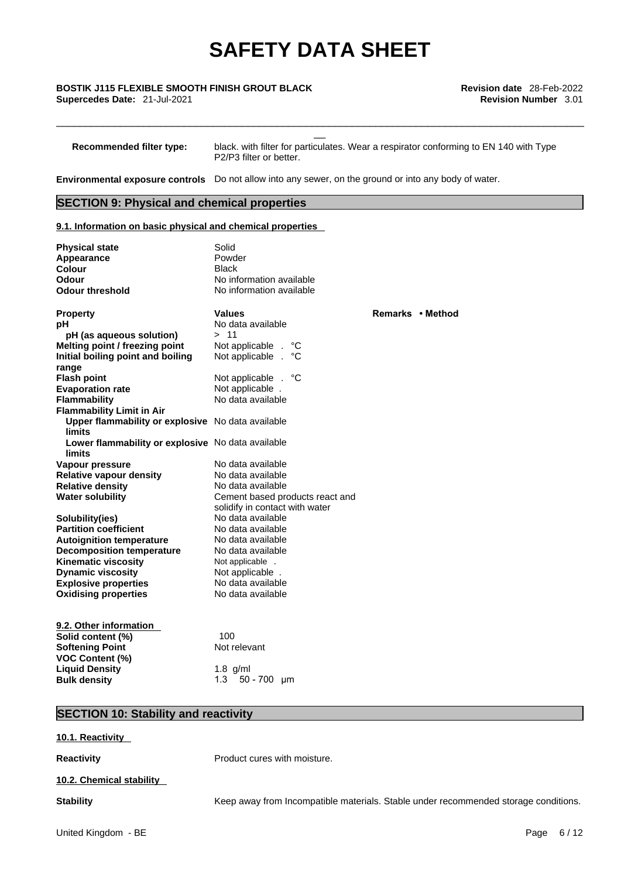# \_\_ **BOSTIK J115 FLEXIBLE SMOOTH FINISH GROUT BLACK Revision date** 28-Feb-2022

**Recommended filter type:** black. with filter for particulates. Wear a respirator conforming to EN 140 with Type P2/P3 filter or better.

\_\_\_\_\_\_\_\_\_\_\_\_\_\_\_\_\_\_\_\_\_\_\_\_\_\_\_\_\_\_\_\_\_\_\_\_\_\_\_\_\_\_\_\_\_\_\_\_\_\_\_\_\_\_\_\_\_\_\_\_\_\_\_\_\_\_\_\_\_\_\_\_\_\_\_\_\_\_\_\_\_\_\_\_\_\_\_\_\_\_\_

**Environmental exposure controls** Do not allow into any sewer, on the ground or into any body of water.

#### **SECTION 9: Physical and chemical properties**

#### **9.1. Information on basic physical and chemical properties**

| <b>Physical state</b><br>Appearance<br>Colour<br><b>Odour</b><br><b>Odour threshold</b> | Solid<br>Powder<br><b>Black</b><br>No information available<br>No information available |                  |
|-----------------------------------------------------------------------------------------|-----------------------------------------------------------------------------------------|------------------|
| <b>Property</b>                                                                         | Values                                                                                  | Remarks • Method |
| рH                                                                                      | No data available                                                                       |                  |
| pH (as aqueous solution)                                                                | >11                                                                                     |                  |
| Melting point / freezing point                                                          | Not applicable.<br>°С                                                                   |                  |
| Initial boiling point and boiling                                                       | Not applicable<br>°C<br>$\mathbf{r}$                                                    |                  |
| range                                                                                   |                                                                                         |                  |
| <b>Flash point</b>                                                                      | °С<br>Not applicable .                                                                  |                  |
| <b>Evaporation rate</b>                                                                 | Not applicable.                                                                         |                  |
| <b>Flammability</b>                                                                     | No data available                                                                       |                  |
| <b>Flammability Limit in Air</b>                                                        |                                                                                         |                  |
| Upper flammability or explosive No data available<br>limits                             |                                                                                         |                  |
| Lower flammability or explosive No data available<br>limits                             |                                                                                         |                  |
| Vapour pressure                                                                         | No data available                                                                       |                  |
| <b>Relative vapour density</b>                                                          | No data available                                                                       |                  |
| <b>Relative density</b>                                                                 | No data available                                                                       |                  |
| <b>Water solubility</b>                                                                 | Cement based products react and                                                         |                  |
|                                                                                         | solidify in contact with water                                                          |                  |
| Solubility(ies)                                                                         | No data available                                                                       |                  |
| <b>Partition coefficient</b>                                                            | No data available                                                                       |                  |
| <b>Autoignition temperature</b>                                                         | No data available                                                                       |                  |
| <b>Decomposition temperature</b>                                                        | No data available                                                                       |                  |
| <b>Kinematic viscosity</b>                                                              | Not applicable .                                                                        |                  |
| <b>Dynamic viscosity</b>                                                                | Not applicable.                                                                         |                  |
| <b>Explosive properties</b>                                                             | No data available                                                                       |                  |
| <b>Oxidising properties</b>                                                             | No data available                                                                       |                  |
| 9.2. Other information                                                                  |                                                                                         |                  |
| Solid content (%)                                                                       | 100                                                                                     |                  |
| <b>Softening Point</b>                                                                  | Not relevant                                                                            |                  |
| <b>VOC Content (%)</b>                                                                  |                                                                                         |                  |
| <b>Liquid Density</b>                                                                   | 1.8 $g/ml$                                                                              |                  |
| <b>Bulk density</b>                                                                     | 1.3<br>$50 - 700$ µm                                                                    |                  |

### **SECTION 10: Stability and reactivity**

#### **10.1. Reactivity**

**Reactivity Product cures with moisture.** 

#### **10.2. Chemical stability**

**Stability** Keep away from Incompatible materials. Stable under recommended storage conditions.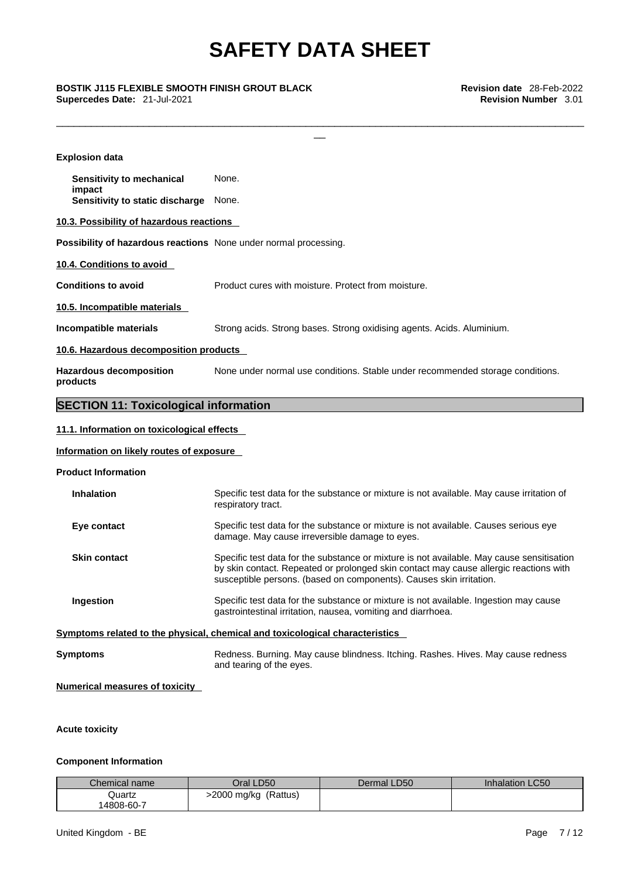\_\_\_\_\_\_\_\_\_\_\_\_\_\_\_\_\_\_\_\_\_\_\_\_\_\_\_\_\_\_\_\_\_\_\_\_\_\_\_\_\_\_\_\_\_\_\_\_\_\_\_\_\_\_\_\_\_\_\_\_\_\_\_\_\_\_\_\_\_\_\_\_\_\_\_\_\_\_\_\_\_\_\_\_\_\_\_\_\_\_\_

\_\_ **BOSTIK J115 FLEXIBLE SMOOTH FINISH GROUT BLACK Revision date** 28-Feb-2022 **Supercedes Date:** 21-Jul-2021 **Revision Number** 3.01

| <b>Explosion data</b>                                            |                                                                                                                                                                                                                                                           |
|------------------------------------------------------------------|-----------------------------------------------------------------------------------------------------------------------------------------------------------------------------------------------------------------------------------------------------------|
| Sensitivity to mechanical                                        | None.                                                                                                                                                                                                                                                     |
| impact<br>Sensitivity to static discharge                        | None.                                                                                                                                                                                                                                                     |
| 10.3. Possibility of hazardous reactions                         |                                                                                                                                                                                                                                                           |
| Possibility of hazardous reactions None under normal processing. |                                                                                                                                                                                                                                                           |
| 10.4. Conditions to avoid                                        |                                                                                                                                                                                                                                                           |
| <b>Conditions to avoid</b>                                       | Product cures with moisture. Protect from moisture.                                                                                                                                                                                                       |
| 10.5. Incompatible materials                                     |                                                                                                                                                                                                                                                           |
| Incompatible materials                                           | Strong acids. Strong bases. Strong oxidising agents. Acids. Aluminium.                                                                                                                                                                                    |
| 10.6. Hazardous decomposition products                           |                                                                                                                                                                                                                                                           |
| <b>Hazardous decomposition</b><br>products                       | None under normal use conditions. Stable under recommended storage conditions.                                                                                                                                                                            |
| <b>SECTION 11: Toxicological information</b>                     |                                                                                                                                                                                                                                                           |
| 11.1. Information on toxicological effects                       |                                                                                                                                                                                                                                                           |
| Information on likely routes of exposure                         |                                                                                                                                                                                                                                                           |
| <b>Product Information</b>                                       |                                                                                                                                                                                                                                                           |
| <b>Inhalation</b>                                                | Specific test data for the substance or mixture is not available. May cause irritation of<br>respiratory tract.                                                                                                                                           |
| Eye contact                                                      | Specific test data for the substance or mixture is not available. Causes serious eye<br>damage. May cause irreversible damage to eyes.                                                                                                                    |
| <b>Skin contact</b>                                              | Specific test data for the substance or mixture is not available. May cause sensitisation<br>by skin contact. Repeated or prolonged skin contact may cause allergic reactions with<br>susceptible persons. (based on components). Causes skin irritation. |
| Ingestion                                                        | Specific test data for the substance or mixture is not available. Ingestion may cause<br>gastrointestinal irritation, nausea, vomiting and diarrhoea.                                                                                                     |
|                                                                  | Symptoms related to the physical, chemical and toxicological characteristics                                                                                                                                                                              |
| <b>Symptoms</b>                                                  | Redness. Burning. May cause blindness. Itching. Rashes. Hives. May cause redness<br>and tearing of the eyes.                                                                                                                                              |
| <b>Numerical measures of toxicity</b>                            |                                                                                                                                                                                                                                                           |
|                                                                  |                                                                                                                                                                                                                                                           |

#### **Acute toxicity**

#### **Component Information**

| Chemical name | Oral LD50               | Dermal LD50 | <b>Inhalation LC50</b> |
|---------------|-------------------------|-------------|------------------------|
| Quartz        | (Rattus)<br>>2000 mg/kg |             |                        |
| 14808-60-7    |                         |             |                        |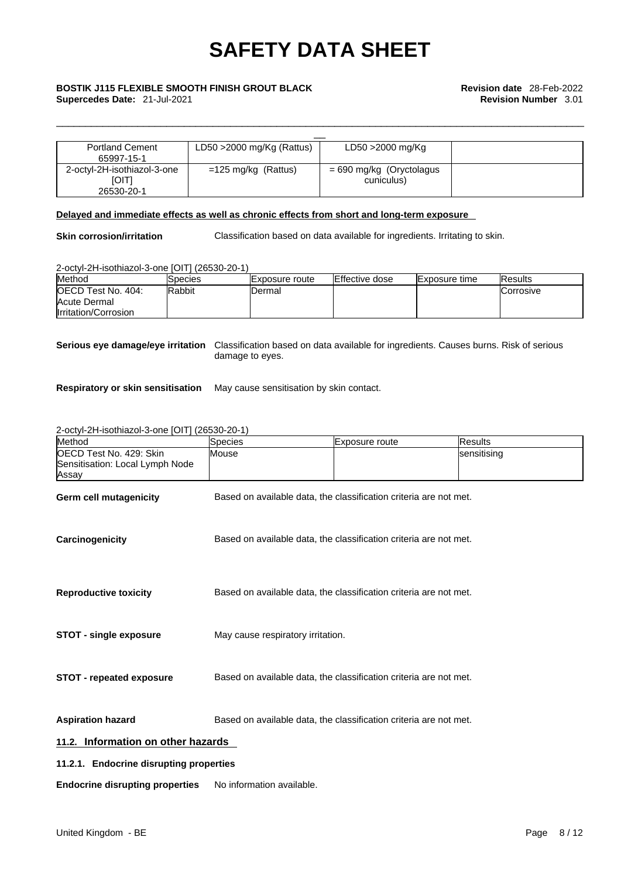| <b>Portland Cement</b>      | LD50 $>$ 2000 mg/Kg (Rattus)  | LD50 >2000 mg/Kg           |  |  |  |  |
|-----------------------------|-------------------------------|----------------------------|--|--|--|--|
| 65997-15-1                  |                               |                            |  |  |  |  |
| 2-octyl-2H-isothiazol-3-one | $=125 \text{ mg/kg}$ (Rattus) | $= 690$ mg/kg (Oryctolagus |  |  |  |  |
| <b>IOITI</b>                |                               | cuniculus)                 |  |  |  |  |
| 26530-20-1                  |                               |                            |  |  |  |  |

#### **Delayed and immediate effects as well as chronic effects from short and long-term exposure**

**Skin corrosion/irritation** Classification based on data available for ingredients. Irritating to skin.

\_\_\_\_\_\_\_\_\_\_\_\_\_\_\_\_\_\_\_\_\_\_\_\_\_\_\_\_\_\_\_\_\_\_\_\_\_\_\_\_\_\_\_\_\_\_\_\_\_\_\_\_\_\_\_\_\_\_\_\_\_\_\_\_\_\_\_\_\_\_\_\_\_\_\_\_\_\_\_\_\_\_\_\_\_\_\_\_\_\_\_

2-octyl-2H-isothiazol-3-one [OIT] (26530-20-1)

| Method                     | Species       | IExposure route | <b>Effective dose</b> | <b>IExposure time</b> | <b>IResults</b>   |
|----------------------------|---------------|-----------------|-----------------------|-----------------------|-------------------|
| <b>IOECD Test No. 404:</b> | <b>Rabbit</b> | Dermal          |                       |                       | <b>ICorrosive</b> |
| Acute Dermal               |               |                 |                       |                       |                   |
| Irritation/Corrosion       |               |                 |                       |                       |                   |

**Serious eye damage/eye irritation** Classification based on data available for ingredients. Causes burns. Risk of serious damage to eyes.

**Respiratory or skin sensitisation** May cause sensitisation by skin contact.

2-octyl-2H-isothiazol-3-one [OIT] (26530-20-1)

| Method                                                                      | Species                                                           | Exposure route                                                    | <b>Results</b> |
|-----------------------------------------------------------------------------|-------------------------------------------------------------------|-------------------------------------------------------------------|----------------|
| <b>IOECD Test No. 429: Skin</b><br>Sensitisation: Local Lymph Node<br>Assay | Mouse                                                             |                                                                   | sensitising    |
| <b>Germ cell mutagenicity</b>                                               |                                                                   | Based on available data, the classification criteria are not met. |                |
| Carcinogenicity                                                             | Based on available data, the classification criteria are not met. |                                                                   |                |
| <b>Reproductive toxicity</b>                                                | Based on available data, the classification criteria are not met. |                                                                   |                |
| <b>STOT - single exposure</b>                                               | May cause respiratory irritation.                                 |                                                                   |                |
| <b>STOT - repeated exposure</b>                                             |                                                                   | Based on available data, the classification criteria are not met. |                |
| <b>Aspiration hazard</b>                                                    |                                                                   | Based on available data, the classification criteria are not met. |                |
| 11.2. Information on other hazards                                          |                                                                   |                                                                   |                |
| 11.2.1. Endocrine disrupting properties                                     |                                                                   |                                                                   |                |
| <b>Endocrine disrupting properties</b>                                      | No information available.                                         |                                                                   |                |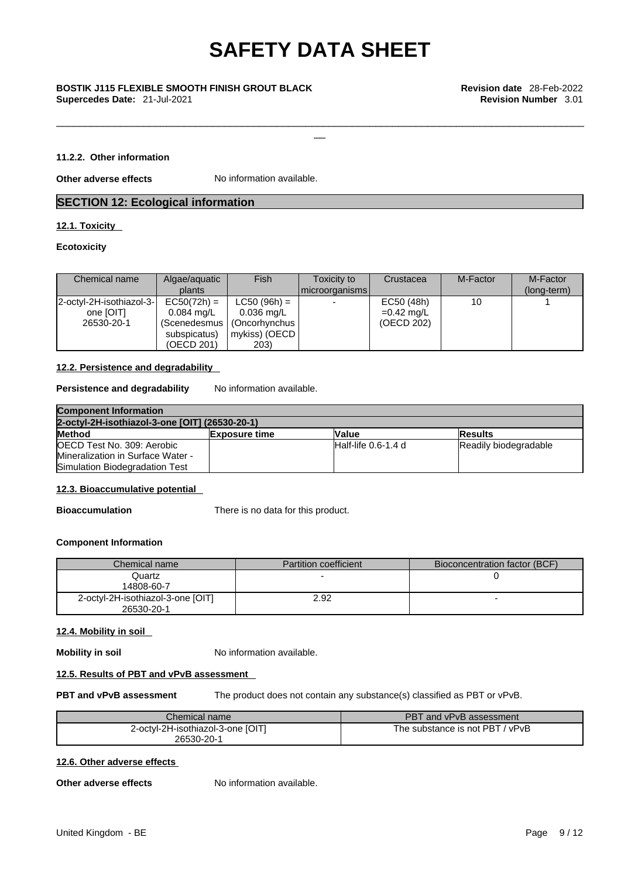\_\_\_\_\_\_\_\_\_\_\_\_\_\_\_\_\_\_\_\_\_\_\_\_\_\_\_\_\_\_\_\_\_\_\_\_\_\_\_\_\_\_\_\_\_\_\_\_\_\_\_\_\_\_\_\_\_\_\_\_\_\_\_\_\_\_\_\_\_\_\_\_\_\_\_\_\_\_\_\_\_\_\_\_\_\_\_\_\_\_\_

# \_\_ **BOSTIK J115 FLEXIBLE SMOOTH FINISH GROUT BLACK Revision date** 28-Feb-2022 **Supercedes Date:** 21-Jul-2021 **Revision Number** 3.01

#### **11.2.2. Other information**

**Other adverse effects** No information available.

#### **SECTION 12: Ecological information**

#### **12.1. Toxicity**

#### **Ecotoxicity**

| Chemical name                                       | Algae/aquatic<br>plants                                             | Fish                                                                                          | Toxicity to<br>  microorganisms | Crustacea                                | M-Factor | M-Factor<br>(long-term) |
|-----------------------------------------------------|---------------------------------------------------------------------|-----------------------------------------------------------------------------------------------|---------------------------------|------------------------------------------|----------|-------------------------|
| 2-octyl-2H-isothiazol-3-<br>one [OIT]<br>26530-20-1 | $EC50(72h) =$<br>$0.084 \text{ ma/L}$<br>subspicatus)<br>(OECD 201) | $LC50 (96h) =$<br>$0.036$ mg/L<br>(Scenedesmus   (Oncorhynchus  <br>  mykiss) (OECD  <br>203) |                                 | EC50 (48h)<br>$=0.42$ mg/L<br>(OECD 202) | 10       |                         |

#### **12.2. Persistence and degradability**

**Persistence and degradability** No information available.

| <b>Component Information</b>                   |                       |                        |                       |
|------------------------------------------------|-----------------------|------------------------|-----------------------|
| 2-octyl-2H-isothiazol-3-one [OIT] (26530-20-1) |                       |                        |                       |
| <b>Method</b>                                  | <b>IExposure time</b> | <b>Value</b>           | <b>IResults</b>       |
| OECD Test No. 309: Aerobic                     |                       | $H$ alf-life 0.6-1.4 d | Readily biodegradable |
| Mineralization in Surface Water -              |                       |                        |                       |
| Simulation Biodegradation Test                 |                       |                        |                       |

#### **12.3. Bioaccumulative potential**

**Bioaccumulation** There is no data for this product.

#### **Component Information**

| Chemical name                     | Partition coefficient | Bioconcentration factor (BCF) |
|-----------------------------------|-----------------------|-------------------------------|
| Quartz                            |                       |                               |
| 14808-60-7                        |                       |                               |
| 2-octyl-2H-isothiazol-3-one [OIT] | 2.92                  |                               |
| 26530-20-1                        |                       |                               |

#### **12.4. Mobility in soil**

**Mobility in soil** No information available.

#### **12.5. Results of PBT and vPvB assessment**

**PBT and vPvB assessment** The product does not contain any substance(s) classified as PBT or vPvB.

| Chemical name                     | <b>PBT</b><br>and vPvB assessment  |
|-----------------------------------|------------------------------------|
| 2-octyl-2H-isothiazol-3-one [OIT] | The substance is not PBT<br>/ vPvB |
| 26530-20-1                        |                                    |

#### **12.6. Other adverse effects**

**Other adverse effects** No information available.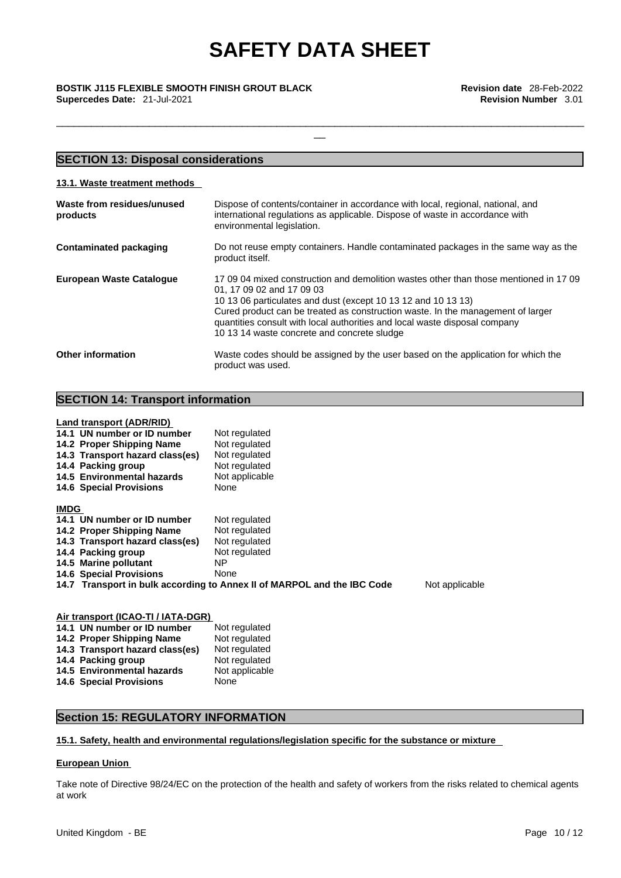\_\_\_\_\_\_\_\_\_\_\_\_\_\_\_\_\_\_\_\_\_\_\_\_\_\_\_\_\_\_\_\_\_\_\_\_\_\_\_\_\_\_\_\_\_\_\_\_\_\_\_\_\_\_\_\_\_\_\_\_\_\_\_\_\_\_\_\_\_\_\_\_\_\_\_\_\_\_\_\_\_\_\_\_\_\_\_\_\_\_\_

\_\_ **BOSTIK J115 FLEXIBLE SMOOTH FINISH GROUT BLACK Revision date** 28-Feb-2022 **Supercedes Date:** 21-Jul-2021 **Revision Number** 3.01

#### **SECTION 13: Disposal considerations 13.1. Waste treatment methods Waste from residues/unused products**  Dispose of contents/container in accordance with local, regional, national, and international regulations as applicable. Dispose of waste in accordance with environmental legislation. **Contaminated packaging** Do not reuse empty containers. Handle contaminated packages in the same way as the product itself. **European Waste Catalogue** 17 09 04 mixed construction and demolition wastes other than those mentioned in 17 09 01, 17 09 02 and 17 09 03 10 13 06 particulates and dust (except 10 13 12 and 10 13 13) Cured product can be treated as construction waste. In the management of larger quantities consult with local authorities and local waste disposal company 10 13 14 waste concrete and concrete sludge **Other information** Waste codes should be assigned by the user based on the application for which the product was used.

#### **SECTION 14: Transport information**

**Land transport (ADR/RID)**

|             | 14.1 UN number or ID number<br>14.2 Proper Shipping Name<br>14.3 Transport hazard class(es)<br>14.4 Packing group<br>14.5 Environmental hazards<br><b>14.6 Special Provisions</b> | Not regulated<br>Not regulated<br>Not regulated<br>Not regulated<br>Not applicable<br>None |                |
|-------------|-----------------------------------------------------------------------------------------------------------------------------------------------------------------------------------|--------------------------------------------------------------------------------------------|----------------|
| <b>IMDG</b> |                                                                                                                                                                                   |                                                                                            |                |
|             | 14.1 UN number or ID number                                                                                                                                                       | Not regulated                                                                              |                |
|             | 14.2 Proper Shipping Name                                                                                                                                                         | Not regulated                                                                              |                |
|             | 14.3 Transport hazard class(es)                                                                                                                                                   | Not regulated                                                                              |                |
|             | 14.4 Packing group                                                                                                                                                                | Not regulated                                                                              |                |
|             | 14.5 Marine pollutant                                                                                                                                                             | NΡ                                                                                         |                |
|             | <b>14.6 Special Provisions</b>                                                                                                                                                    | None                                                                                       |                |
|             |                                                                                                                                                                                   | 14.7 Transport in bulk according to Annex II of MARPOL and the IBC Code                    | Not applicable |

| Air transport (ICAO-TI / IATA-DGR) |                |  |  |
|------------------------------------|----------------|--|--|
| 14.1 UN number or ID number        | Not regulated  |  |  |
| 14.2 Proper Shipping Name          | Not regulated  |  |  |
| 14.3 Transport hazard class(es)    | Not regulated  |  |  |
| 14.4 Packing group                 | Not regulated  |  |  |
| 14.5 Environmental hazards         | Not applicable |  |  |
| <b>14.6 Special Provisions</b>     | None           |  |  |

### **Section 15: REGULATORY INFORMATION**

#### **15.1. Safety, health and environmental regulations/legislation specific for the substance or mixture**

#### **European Union**

Take note of Directive 98/24/EC on the protection of the health and safety of workers from the risks related to chemical agents at work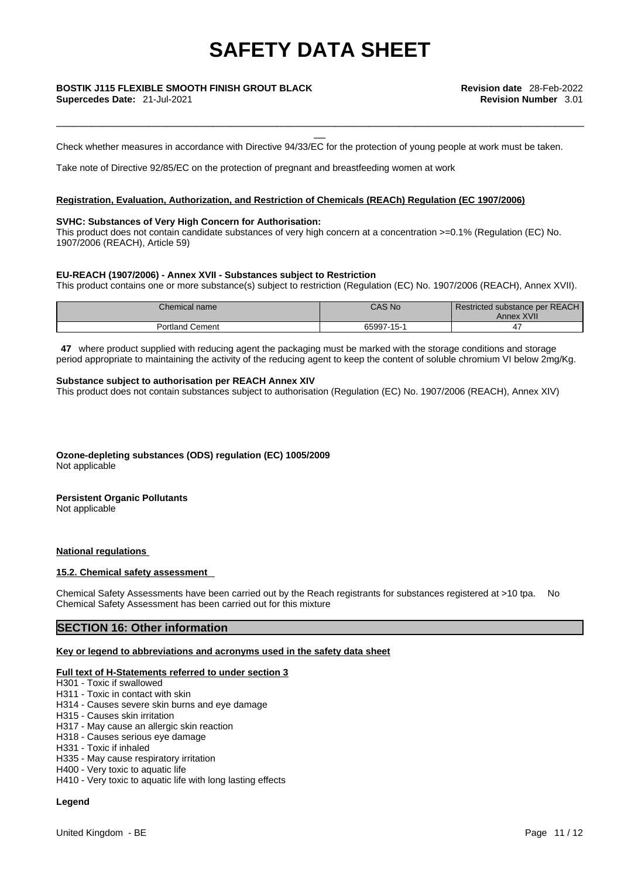# \_\_ **BOSTIK J115 FLEXIBLE SMOOTH FINISH GROUT BLACK Revision date** 28-Feb-2022

Check whether measures in accordance with Directive 94/33/EC for the protection of young people at work must be taken.

\_\_\_\_\_\_\_\_\_\_\_\_\_\_\_\_\_\_\_\_\_\_\_\_\_\_\_\_\_\_\_\_\_\_\_\_\_\_\_\_\_\_\_\_\_\_\_\_\_\_\_\_\_\_\_\_\_\_\_\_\_\_\_\_\_\_\_\_\_\_\_\_\_\_\_\_\_\_\_\_\_\_\_\_\_\_\_\_\_\_\_

Take note of Directive 92/85/EC on the protection of pregnant and breastfeeding women at work

#### **Registration, Evaluation, Authorization, and Restriction of Chemicals (REACh) Regulation (EC 1907/2006)**

#### **SVHC: Substances of Very High Concern for Authorisation:**

This product does not contain candidate substances of very high concern at a concentration >=0.1% (Regulation (EC) No. 1907/2006 (REACH), Article 59)

#### **EU-REACH (1907/2006) - Annex XVII - Substances subject to Restriction**

This product contains one or more substance(s) subject to restriction (Regulation (EC) No. 1907/2006 (REACH), Annex XVII).

| Chemical name          | CAS No     | Restricted substance per REACH<br>Annex XVII |
|------------------------|------------|----------------------------------------------|
| <b>Portland Cement</b> | 65997-15-1 |                                              |

**47** where product supplied with reducing agent the packaging must be marked with the storage conditions and storage period appropriate to maintaining the activity of the reducing agent to keep the content of soluble chromium VI below 2mg/Kg.

#### **Substance subject to authorisation per REACH Annex XIV**

This product does not contain substances subject to authorisation (Regulation (EC) No. 1907/2006 (REACH), Annex XIV)

**Ozone-depleting substances (ODS) regulation (EC) 1005/2009** Not applicable

### **Persistent Organic Pollutants**

Not applicable

#### **National regulations**

#### **15.2. Chemical safety assessment**

Chemical Safety Assessments have been carried out by the Reach registrants for substances registered at >10 tpa. No Chemical Safety Assessment has been carried out for this mixture

#### **SECTION 16: Other information**

#### **Key or legend to abbreviations and acronyms used in the safety data sheet**

#### **Full text of H-Statements referred to under section 3**

- H301 Toxic if swallowed
- H311 Toxic in contact with skin
- H314 Causes severe skin burns and eye damage
- H315 Causes skin irritation
- H317 May cause an allergic skin reaction
- H318 Causes serious eye damage
- H331 Toxic if inhaled
- H335 May cause respiratory irritation
- H400 Very toxic to aquatic life
- H410 Very toxic to aquatic life with long lasting effects

#### **Legend**